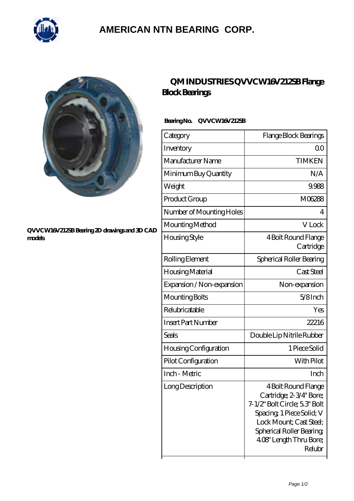

## **[AMERICAN NTN BEARING CORP.](https://all-about-hang-gliding.com)**



#### **[QVVCW16V212SB Bearing 2D drawings and 3D CAD](https://all-about-hang-gliding.com/pic-192004.html) [models](https://all-about-hang-gliding.com/pic-192004.html)**

### **[QM INDUSTRIES QVVCW16V212SB Flange](https://all-about-hang-gliding.com/be-192004-qm-industries-qvvcw16v212sb-flange-block-bearings.html) [Block Bearings](https://all-about-hang-gliding.com/be-192004-qm-industries-qvvcw16v212sb-flange-block-bearings.html)**

### **Bearing No. QVVCW16V212SB**

| Category                  | Flange Block Bearings                                                                                                                                                                                   |
|---------------------------|---------------------------------------------------------------------------------------------------------------------------------------------------------------------------------------------------------|
| Inventory                 | Q0                                                                                                                                                                                                      |
| Manufacturer Name         | <b>TIMKEN</b>                                                                                                                                                                                           |
| Minimum Buy Quantity      | N/A                                                                                                                                                                                                     |
| Weight                    | 9.988                                                                                                                                                                                                   |
| Product Group             | M06288                                                                                                                                                                                                  |
| Number of Mounting Holes  | 4                                                                                                                                                                                                       |
| Mounting Method           | V Lock                                                                                                                                                                                                  |
| Housing Style             | 4 Bolt Round Flange<br>Cartridge                                                                                                                                                                        |
| Rolling Element           | Spherical Roller Bearing                                                                                                                                                                                |
| Housing Material          | Cast Steel                                                                                                                                                                                              |
| Expansion / Non-expansion | Non-expansion                                                                                                                                                                                           |
| Mounting Bolts            | $5/8$ Inch                                                                                                                                                                                              |
| Relubricatable            | Yes                                                                                                                                                                                                     |
| <b>Insert Part Number</b> | 22216                                                                                                                                                                                                   |
| Seals                     | Double Lip Nitrile Rubber                                                                                                                                                                               |
| Housing Configuration     | 1 Piece Solid                                                                                                                                                                                           |
| Pilot Configuration       | With Pilot                                                                                                                                                                                              |
| Inch - Metric             | Inch                                                                                                                                                                                                    |
| Long Description          | 4 Bolt Round Flange<br>Cartridge; 2-3/4" Bore;<br>7-1/2" Bolt Circle; 5.3" Bolt<br>Spacing 1 Piece Solid; V<br>Lock Mount; Cast Steel;<br>Spherical Roller Bearing<br>4.08" Length Thru Bore;<br>Relubr |